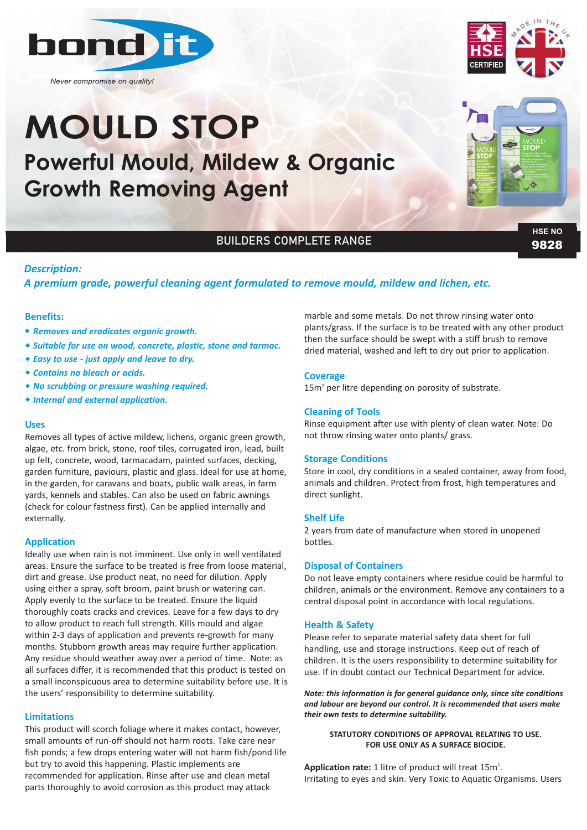

*Never compromise on quality!*

# **Powerful Mould, Mildew & Organic Growth Removing Agent MOULD STOP**





### BUILDERS COMPLETE RANGE

9828 **HSE NO**

#### *Description:*

#### *A premium grade, powerful cleaning agent formulated to remove mould, mildew and lichen, etc.*

#### **Benefits:**

- w *Removes and eradicates organic growth.*
- w *Suitable for use on wood, concrete, plastic, stone and tarmac.*
- w *Easy to use ‐ just apply and leave to dry.*
- w *Contains no bleach or acids.*
- \* No scrubbing or pressure washing required.
- w *Internal and external application.*

#### **Uses**

Removes all types of active mildew, lichens, organic green growth, algae, etc. from brick, stone, roof tiles, corrugated iron, lead, built up felt, concrete, wood, tarmacadam, painted surfaces, decking, garden furniture, paviours, plastic and glass. Ideal for use at home, in the garden, for caravans and boats, public walk areas, in farm yards, kennels and stables. Can also be used on fabric awnings (check for colour fastness first). Can be applied internally and externally.

#### **Application**

Ideally use when rain is not imminent. Use only in well ventilated areas. Ensure the surface to be treated is free from loose material, dirt and grease. Use product neat, no need for dilution. Apply using either a spray, soft broom, paint brush or watering can. Apply evenly to the surface to be treated. Ensure the liquid thoroughly coats cracks and crevices. Leave for a few days to dry to allow product to reach full strength. Kills mould and algae within 2-3 days of application and prevents re-growth for many months. Stubborn growth areas may require further application. Any residue should weather away over a period of time. Note: as all surfaces differ, it is recommended that this product is tested on a small inconspicuous area to determine suitability before use. It is the users' responsibility to determine suitability.

#### **Limitations**

This product will scorch foliage where it makes contact, however, small amounts of run-off should not harm roots. Take care near fish ponds; a few drops entering water will not harm fish/pond life but try to avoid this happening. Plastic implements are recommended for application. Rinse after use and clean metal parts thoroughly to avoid corrosion as this product may attack

marble and some metals. Do not throw rinsing water onto plants/grass. If the surface is to be treated with any other product then the surface should be swept with a stiff brush to remove dried material, washed and left to dry out prior to application.

#### **Coverage**

 $15m<sup>2</sup>$  per litre depending on porosity of substrate.

#### **Cleaning of Tools**

Rinse equipment after use with plenty of clean water. Note: Do not throw rinsing water onto plants/ grass.

#### **Storage Conditions**

Store in cool, dry conditions in a sealed container, away from food, animals and children. Protect from frost, high temperatures and direct sunlight.

#### **Shelf Life**

2 years from date of manufacture when stored in unopened bottles.

#### **Disposal of Containers**

Do not leave empty containers where residue could be harmful to children, animals or the environment. Remove any containers to a central disposal point in accordance with local regulations.

#### **Health & Safety**

Please refer to separate material safety data sheet for full handling, use and storage instructions. Keep out of reach of children. It is the users responsibility to determine suitability for use. If in doubt contact our Technical Department for advice.

*Note: this information is for general guidance only, since site conditions and labour are beyond our control. It is recommended that users make their own tests to determine suitability.* 

#### **STATUTORY CONDITIONS OF APPROVAL RELATING TO USE. FOR USE ONLY AS A SURFACE BIOCIDE.**

Application rate: 1 litre of product will treat 15m<sup>2</sup>. Irritating to eyes and skin. Very Toxic to Aquatic Organisms. Users